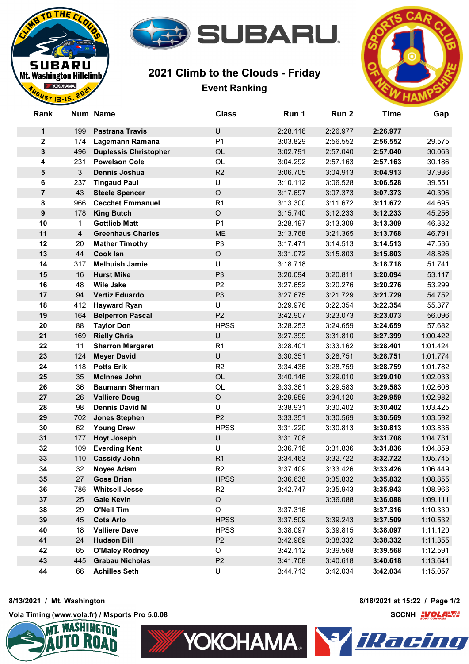

## **2021 Climb to the Clouds - Friday Event Ranking**



| Rank             |     | Num Name                     | <b>Class</b>   | Run 1    | Run 2    | <b>Time</b> | Gap      |
|------------------|-----|------------------------------|----------------|----------|----------|-------------|----------|
| $\mathbf 1$      | 199 | <b>Pastrana Travis</b>       | U              | 2:28.116 | 2:26.977 | 2:26.977    |          |
| $\mathbf{2}$     | 174 | Lagemann Ramana              | P <sub>1</sub> | 3:03.829 | 2:56.552 | 2:56.552    | 29.575   |
| 3                | 496 | <b>Duplessis Christopher</b> | OL             | 3:02.791 | 2:57.040 | 2:57.040    | 30.063   |
| 4                | 231 | <b>Powelson Cole</b>         | OL             | 3:04.292 | 2:57.163 | 2:57.163    | 30.186   |
| 5                | 3   | <b>Dennis Joshua</b>         | R2             | 3:06.705 | 3:04.913 | 3:04.913    | 37.936   |
| 6                | 237 | <b>Tingaud Paul</b>          | U              | 3:10.112 | 3:06.528 | 3:06.528    | 39.551   |
| $\overline{7}$   | 43  | <b>Steele Spencer</b>        | $\circ$        | 3:17.697 | 3:07.373 | 3:07.373    | 40.396   |
| 8                | 966 | <b>Cecchet Emmanuel</b>      | R <sub>1</sub> | 3:13.300 | 3:11.672 | 3:11.672    | 44.695   |
| $\boldsymbol{9}$ | 178 | <b>King Butch</b>            | $\circ$        | 3:15.740 | 3:12.233 | 3:12.233    | 45.256   |
| 10               | 1   | <b>Gottlieb Matt</b>         | P <sub>1</sub> | 3:28.197 | 3:13.309 | 3:13.309    | 46.332   |
| 11               | 4   | <b>Greenhaus Charles</b>     | <b>ME</b>      | 3:13.768 | 3:21.365 | 3:13.768    | 46.791   |
| 12               | 20  | <b>Mather Timothy</b>        | P <sub>3</sub> | 3:17.471 | 3:14.513 | 3:14.513    | 47.536   |
| 13               | 44  | <b>Cook lan</b>              | $\mathsf O$    | 3:31.072 | 3:15.803 | 3:15.803    | 48.826   |
| 14               | 317 | <b>Melhuish Jamie</b>        | U              | 3:18.718 |          | 3:18.718    | 51.741   |
| 15               | 16  | <b>Hurst Mike</b>            | P <sub>3</sub> | 3:20.094 | 3:20.811 | 3:20.094    | 53.117   |
| 16               | 48  | <b>Wile Jake</b>             | P <sub>2</sub> | 3:27.652 | 3:20.276 | 3:20.276    | 53.299   |
| 17               | 94  | <b>Vertiz Eduardo</b>        | P <sub>3</sub> | 3:27.675 | 3:21.729 | 3:21.729    | 54.752   |
| 18               | 412 | <b>Hayward Ryan</b>          | U              | 3:29.976 | 3:22.354 | 3:22.354    | 55.377   |
| 19               | 164 | <b>Belperron Pascal</b>      | P <sub>2</sub> | 3:42.907 | 3:23.073 | 3:23.073    | 56.096   |
| 20               | 88  | <b>Taylor Don</b>            | <b>HPSS</b>    | 3:28.253 | 3:24.659 | 3:24.659    | 57.682   |
| 21               | 169 | <b>Rielly Chris</b>          | $\cup$         | 3:27.399 | 3:31.810 | 3:27.399    | 1:00.422 |
| 22               | 11  | <b>Sharron Margaret</b>      | R <sub>1</sub> | 3:28.401 | 3:33.162 | 3:28.401    | 1:01.424 |
| 23               | 124 | <b>Meyer David</b>           | U              | 3:30.351 | 3:28.751 | 3:28.751    | 1:01.774 |
| 24               | 118 | <b>Potts Erik</b>            | R2             | 3:34.436 | 3:28.759 | 3:28.759    | 1:01.782 |
| 25               | 35  | <b>McInnes John</b>          | OL             | 3:40.146 | 3:29.010 | 3:29.010    | 1:02.033 |
| 26               | 36  | <b>Baumann Sherman</b>       | OL             | 3:33.361 | 3:29.583 | 3:29.583    | 1:02.606 |
| 27               | 26  | <b>Valliere Doug</b>         | $\circ$        | 3:29.959 | 3:34.120 | 3:29.959    | 1:02.982 |
| 28               | 98  | <b>Dennis David M</b>        | U              | 3:38.931 | 3:30.402 | 3:30.402    | 1:03.425 |
| 29               | 702 | <b>Jones Stephen</b>         | P <sub>2</sub> | 3:33.351 | 3:30.569 | 3:30.569    | 1:03.592 |
| 30               | 62  | <b>Young Drew</b>            | <b>HPSS</b>    | 3:31.220 | 3:30.813 | 3:30.813    | 1:03.836 |
| 31               | 177 | <b>Hoyt Joseph</b>           | U              | 3:31.708 |          | 3:31.708    | 1:04.731 |
| 32               | 109 | <b>Everding Kent</b>         | U              | 3:36.716 | 3:31.836 | 3:31.836    | 1:04.859 |
| 33               | 110 | <b>Cassidy John</b>          | R <sub>1</sub> | 3:34.463 | 3:32.722 | 3:32.722    | 1:05.745 |
| 34               | 32  | <b>Noyes Adam</b>            | R <sub>2</sub> | 3:37.409 | 3:33.426 | 3:33.426    | 1:06.449 |
| 35               | 27  | <b>Goss Brian</b>            | <b>HPSS</b>    | 3:36.638 | 3:35.832 | 3:35.832    | 1:08.855 |
| 36               | 786 | <b>Whitsell Jesse</b>        | R <sub>2</sub> | 3:42.747 | 3:35.943 | 3:35.943    | 1:08.966 |
| 37               | 25  | <b>Gale Kevin</b>            | $\mathsf O$    |          | 3:36.088 | 3:36.088    | 1:09.111 |
| 38               | 29  | O'Neil Tim                   | O              | 3:37.316 |          | 3:37.316    | 1:10.339 |
| 39               | 45  | <b>Cota Arlo</b>             | <b>HPSS</b>    | 3:37.509 | 3:39.243 | 3:37.509    | 1:10.532 |
| 40               | 18  | <b>Valliere Dave</b>         | <b>HPSS</b>    | 3:38.097 | 3:39.815 | 3:38.097    | 1:11.120 |
| 41               | 24  | <b>Hudson Bill</b>           | P <sub>2</sub> | 3:42.969 | 3:38.332 | 3:38.332    | 1:11.355 |
| 42               | 65  | <b>O'Maley Rodney</b>        | O              | 3:42.112 | 3:39.568 | 3:39.568    | 1:12.591 |
| 43               | 445 | <b>Grabau Nicholas</b>       | P <sub>2</sub> | 3:41.708 | 3:40.618 | 3:40.618    | 1:13.641 |
| 44               | 66  | <b>Achilles Seth</b>         | U              | 3:44.713 | 3:42.034 | 3:42.034    | 1:15.057 |

**8/13/2021 / Mt. Washington 8/18/2021 at 15:22 / Page 1/2**

THE<sub>r</sub>

**SUBARU** Mt. Washington Hillclimb YOKOHAMA.  $ST13-15$ 

**Vola Timing (www.vola.fr) / Msports Pro 5.0.08 SCCNH SCCNH SCCNH**